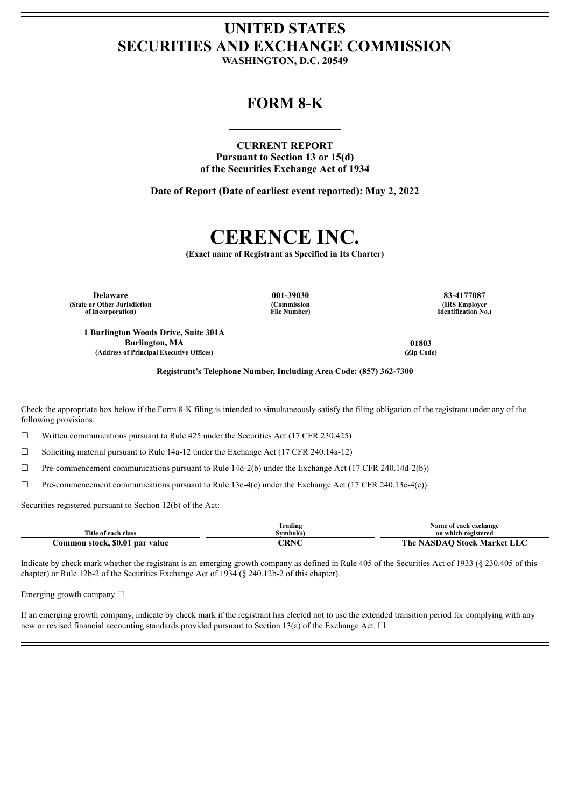# **UNITED STATES SECURITIES AND EXCHANGE COMMISSION**

**WASHINGTON, D.C. 20549**

# **FORM 8-K**

# **CURRENT REPORT Pursuant to Section 13 or 15(d) of the Securities Exchange Act of 1934**

**Date of Report (Date of earliest event reported): May 2, 2022**

# **CERENCE INC.**

**(Exact name of Registrant as Specified in Its Charter)**

**Delaware 001-39030 83-4177087 (State or Other Jurisdiction of Incorporation)**

**(Commission File Number)**

**(IRS Employer Identification No.)**

**1 Burlington Woods Drive, Suite 301A Burlington, MA 01803**<br> **of Principal Executive Offices)** (Zip Code) **(Address of Principal Executive Offices) (Zip Code)**

**Registrant's Telephone Number, Including Area Code: (857) 362-7300**

Check the appropriate box below if the Form 8-K filing is intended to simultaneously satisfy the filing obligation of the registrant under any of the following provisions:

 $\Box$  Written communications pursuant to Rule 425 under the Securities Act (17 CFR 230.425)

 $\Box$  Soliciting material pursuant to Rule 14a-12 under the Exchange Act (17 CFR 240.14a-12)

 $\Box$  Pre-commencement communications pursuant to Rule 14d-2(b) under the Exchange Act (17 CFR 240.14d-2(b))

 $\Box$  Pre-commencement communications pursuant to Rule 13e-4(c) under the Exchange Act (17 CFR 240.13e-4(c))

Securities registered pursuant to Section 12(b) of the Act:

|                                | Frading                     | Name of each exchange       |
|--------------------------------|-----------------------------|-----------------------------|
| Title of each class            | Svmbol(s)                   | on which registered         |
| Common stock, \$0.01 par value | $\sim$ dni $\epsilon$<br>лw | The NASDAO Stock Market LLC |

Indicate by check mark whether the registrant is an emerging growth company as defined in Rule 405 of the Securities Act of 1933 (§ 230.405 of this chapter) or Rule 12b-2 of the Securities Exchange Act of 1934 (§ 240.12b-2 of this chapter).

Emerging growth company  $\Box$ 

If an emerging growth company, indicate by check mark if the registrant has elected not to use the extended transition period for complying with any new or revised financial accounting standards provided pursuant to Section 13(a) of the Exchange Act.  $\Box$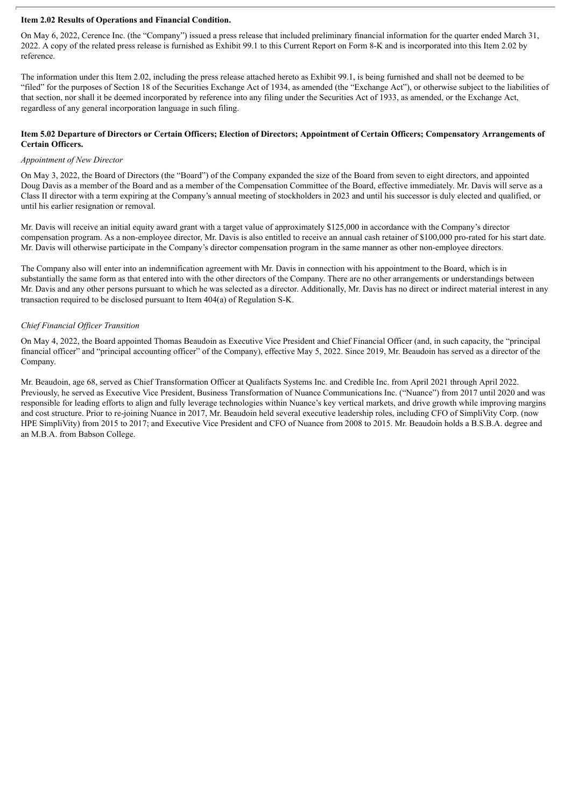## **Item 2.02 Results of Operations and Financial Condition.**

On May 6, 2022, Cerence Inc. (the "Company") issued a press release that included preliminary financial information for the quarter ended March 31, 2022. A copy of the related press release is furnished as Exhibit 99.1 to this Current Report on Form 8-K and is incorporated into this Item 2.02 by reference.

The information under this Item 2.02, including the press release attached hereto as Exhibit 99.1, is being furnished and shall not be deemed to be "filed" for the purposes of Section 18 of the Securities Exchange Act of 1934, as amended (the "Exchange Act"), or otherwise subject to the liabilities of that section, nor shall it be deemed incorporated by reference into any filing under the Securities Act of 1933, as amended, or the Exchange Act, regardless of any general incorporation language in such filing.

# Item 5.02 Departure of Directors or Certain Officers; Election of Directors; Appointment of Certain Officers; Compensatory Arrangements of **Certain Officers.**

### *Appointment of New Director*

On May 3, 2022, the Board of Directors (the "Board") of the Company expanded the size of the Board from seven to eight directors, and appointed Doug Davis as a member of the Board and as a member of the Compensation Committee of the Board, effective immediately. Mr. Davis will serve as a Class II director with a term expiring at the Company's annual meeting of stockholders in 2023 and until his successor is duly elected and qualified, or until his earlier resignation or removal.

Mr. Davis will receive an initial equity award grant with a target value of approximately \$125,000 in accordance with the Company's director compensation program. As a non-employee director, Mr. Davis is also entitled to receive an annual cash retainer of \$100,000 pro-rated for his start date. Mr. Davis will otherwise participate in the Company's director compensation program in the same manner as other non-employee directors.

The Company also will enter into an indemnification agreement with Mr. Davis in connection with his appointment to the Board, which is in substantially the same form as that entered into with the other directors of the Company. There are no other arrangements or understandings between Mr. Davis and any other persons pursuant to which he was selected as a director. Additionally, Mr. Davis has no direct or indirect material interest in any transaction required to be disclosed pursuant to Item 404(a) of Regulation S-K.

# *Chief Financial Of icer Transition*

On May 4, 2022, the Board appointed Thomas Beaudoin as Executive Vice President and Chief Financial Officer (and, in such capacity, the "principal financial officer" and "principal accounting officer" of the Company), effective May 5, 2022. Since 2019, Mr. Beaudoin has served as a director of the Company.

Mr. Beaudoin, age 68, served as Chief Transformation Officer at Qualifacts Systems Inc. and Credible Inc. from April 2021 through April 2022. Previously, he served as Executive Vice President, Business Transformation of Nuance Communications Inc. ("Nuance") from 2017 until 2020 and was responsible for leading efforts to align and fully leverage technologies within Nuance's key vertical markets, and drive growth while improving margins and cost structure. Prior to re-joining Nuance in 2017, Mr. Beaudoin held several executive leadership roles, including CFO of SimpliVity Corp. (now HPE SimpliVity) from 2015 to 2017; and Executive Vice President and CFO of Nuance from 2008 to 2015. Mr. Beaudoin holds a B.S.B.A. degree and an M.B.A. from Babson College.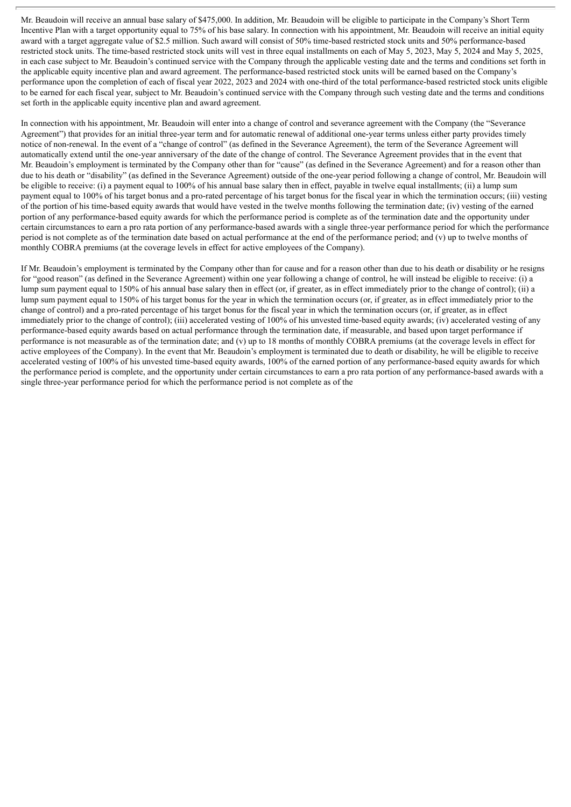Mr. Beaudoin will receive an annual base salary of \$475,000. In addition, Mr. Beaudoin will be eligible to participate in the Company's Short Term Incentive Plan with a target opportunity equal to 75% of his base salary. In connection with his appointment, Mr. Beaudoin will receive an initial equity award with a target aggregate value of \$2.5 million. Such award will consist of 50% time-based restricted stock units and 50% performance-based restricted stock units. The time-based restricted stock units will vest in three equal installments on each of May 5, 2023, May 5, 2024 and May 5, 2025, in each case subject to Mr. Beaudoin's continued service with the Company through the applicable vesting date and the terms and conditions set forth in the applicable equity incentive plan and award agreement. The performance-based restricted stock units will be earned based on the Company's performance upon the completion of each of fiscal year 2022, 2023 and 2024 with one-third of the total performance-based restricted stock units eligible to be earned for each fiscal year, subject to Mr. Beaudoin's continued service with the Company through such vesting date and the terms and conditions set forth in the applicable equity incentive plan and award agreement.

In connection with his appointment, Mr. Beaudoin will enter into a change of control and severance agreement with the Company (the "Severance Agreement") that provides for an initial three-year term and for automatic renewal of additional one-year terms unless either party provides timely notice of non-renewal. In the event of a "change of control" (as defined in the Severance Agreement), the term of the Severance Agreement will automatically extend until the one-year anniversary of the date of the change of control. The Severance Agreement provides that in the event that Mr. Beaudoin's employment is terminated by the Company other than for "cause" (as defined in the Severance Agreement) and for a reason other than due to his death or "disability" (as defined in the Severance Agreement) outside of the one-year period following a change of control, Mr. Beaudoin will be eligible to receive: (i) a payment equal to 100% of his annual base salary then in effect, payable in twelve equal installments; (ii) a lump sum payment equal to 100% of his target bonus and a pro-rated percentage of his target bonus for the fiscal year in which the termination occurs; (iii) vesting of the portion of his time-based equity awards that would have vested in the twelve months following the termination date; (iv) vesting of the earned portion of any performance-based equity awards for which the performance period is complete as of the termination date and the opportunity under certain circumstances to earn a pro rata portion of any performance-based awards with a single three-year performance period for which the performance period is not complete as of the termination date based on actual performance at the end of the performance period; and (v) up to twelve months of monthly COBRA premiums (at the coverage levels in effect for active employees of the Company).

If Mr. Beaudoin's employment is terminated by the Company other than for cause and for a reason other than due to his death or disability or he resigns for "good reason" (as defined in the Severance Agreement) within one year following a change of control, he will instead be eligible to receive: (i) a lump sum payment equal to 150% of his annual base salary then in effect (or, if greater, as in effect immediately prior to the change of control); (ii) a lump sum payment equal to 150% of his target bonus for the year in which the termination occurs (or, if greater, as in effect immediately prior to the change of control) and a pro-rated percentage of his target bonus for the fiscal year in which the termination occurs (or, if greater, as in effect immediately prior to the change of control); (iii) accelerated vesting of 100% of his unvested time-based equity awards; (iv) accelerated vesting of any performance-based equity awards based on actual performance through the termination date, if measurable, and based upon target performance if performance is not measurable as of the termination date; and (v) up to 18 months of monthly COBRA premiums (at the coverage levels in effect for active employees of the Company). In the event that Mr. Beaudoin's employment is terminated due to death or disability, he will be eligible to receive accelerated vesting of 100% of his unvested time-based equity awards, 100% of the earned portion of any performance-based equity awards for which the performance period is complete, and the opportunity under certain circumstances to earn a pro rata portion of any performance-based awards with a single three-year performance period for which the performance period is not complete as of the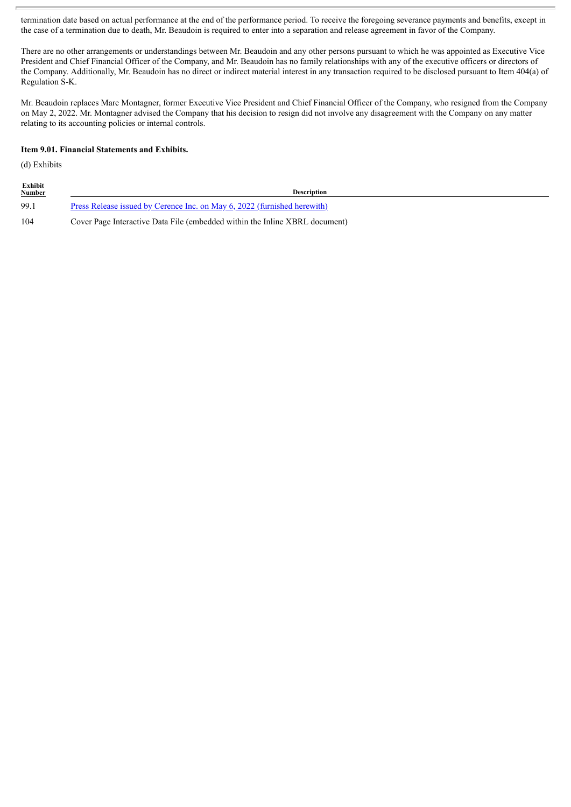termination date based on actual performance at the end of the performance period. To receive the foregoing severance payments and benefits, except in the case of a termination due to death, Mr. Beaudoin is required to enter into a separation and release agreement in favor of the Company.

There are no other arrangements or understandings between Mr. Beaudoin and any other persons pursuant to which he was appointed as Executive Vice President and Chief Financial Officer of the Company, and Mr. Beaudoin has no family relationships with any of the executive officers or directors of the Company. Additionally, Mr. Beaudoin has no direct or indirect material interest in any transaction required to be disclosed pursuant to Item 404(a) of Regulation S-K.

Mr. Beaudoin replaces Marc Montagner, former Executive Vice President and Chief Financial Officer of the Company, who resigned from the Company on May 2, 2022. Mr. Montagner advised the Company that his decision to resign did not involve any disagreement with the Company on any matter relating to its accounting policies or internal controls.

#### **Item 9.01. Financial Statements and Exhibits.**

(d) Exhibits

| Exhibit<br><b>Number</b> | <b>Description</b>                                                          |
|--------------------------|-----------------------------------------------------------------------------|
| 99.1                     | Press Release issued by Cerence Inc. on May 6, 2022 (furnished herewith)    |
| 104                      | Cover Page Interactive Data File (embedded within the Inline XBRL document) |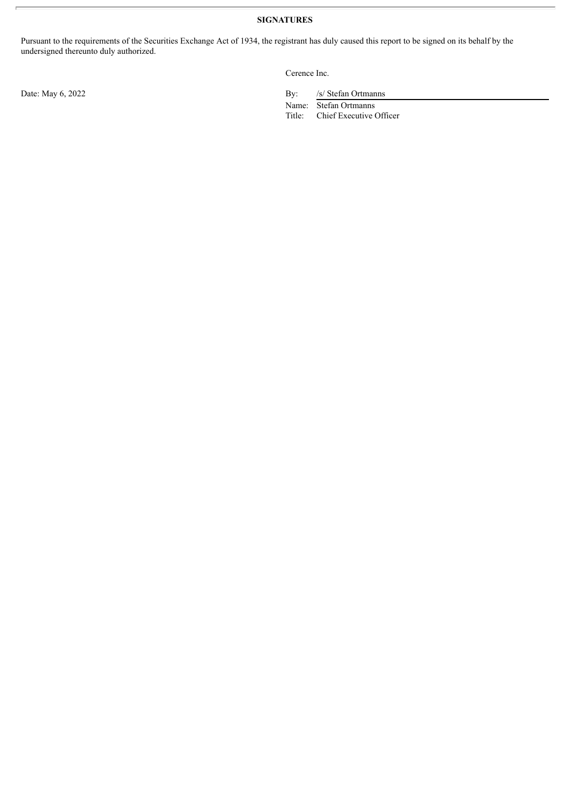Pursuant to the requirements of the Securities Exchange Act of 1934, the registrant has duly caused this report to be signed on its behalf by the undersigned thereunto duly authorized.

Cerence Inc.

Date: May 6, 2022 By: /s/ Stefan Ortmanns

Name: Stefan Ortmanns Title: Chief Executive Officer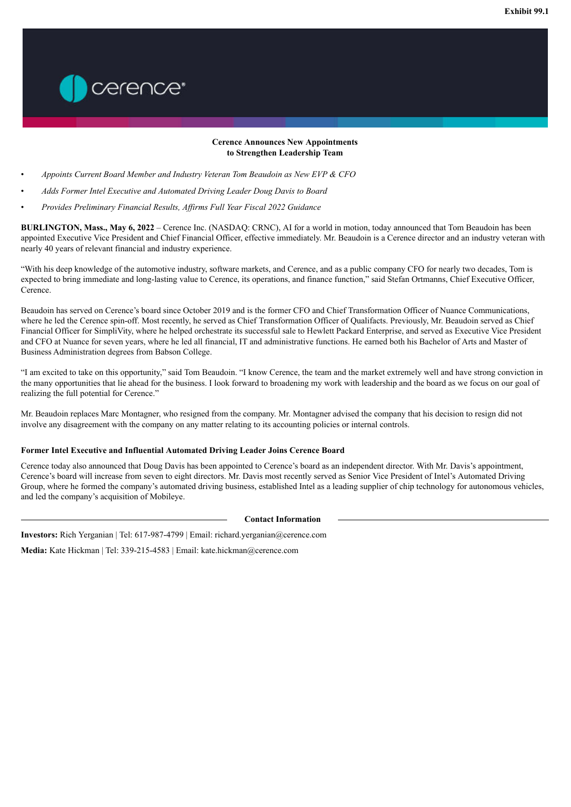# **Cerence Announces New Appointments to Strengthen Leadership Team**

- *Appoints Current Board Member and Industry Veteran Tom Beaudoin as New EVP & CFO*
- *Adds Former Intel Executive and Automated Driving Leader Doug Davis to Board*

<span id="page-5-0"></span>cerence<sup>®</sup>

• *Provides Preliminary Financial Results, Af irms Full Year Fiscal 2022 Guidance*

**BURLINGTON, Mass., May 6, 2022** – Cerence Inc. (NASDAQ: CRNC), AI for a world in motion, today announced that Tom Beaudoin has been appointed Executive Vice President and Chief Financial Officer, effective immediately. Mr. Beaudoin is a Cerence director and an industry veteran with nearly 40 years of relevant financial and industry experience.

"With his deep knowledge of the automotive industry, software markets, and Cerence, and as a public company CFO for nearly two decades, Tom is expected to bring immediate and long-lasting value to Cerence, its operations, and finance function," said Stefan Ortmanns, Chief Executive Officer, Cerence.

Beaudoin has served on Cerence's board since October 2019 and is the former CFO and Chief Transformation Officer of Nuance Communications, where he led the Cerence spin-off. Most recently, he served as Chief Transformation Officer of Qualifacts. Previously, Mr. Beaudoin served as Chief Financial Officer for SimpliVity, where he helped orchestrate its successful sale to Hewlett Packard Enterprise, and served as Executive Vice President and CFO at Nuance for seven years, where he led all financial, IT and administrative functions. He earned both his Bachelor of Arts and Master of Business Administration degrees from Babson College.

"I am excited to take on this opportunity," said Tom Beaudoin. "I know Cerence, the team and the market extremely well and have strong conviction in the many opportunities that lie ahead for the business. I look forward to broadening my work with leadership and the board as we focus on our goal of realizing the full potential for Cerence."

Mr. Beaudoin replaces Marc Montagner, who resigned from the company. Mr. Montagner advised the company that his decision to resign did not involve any disagreement with the company on any matter relating to its accounting policies or internal controls.

#### **Former Intel Executive and Influential Automated Driving Leader Joins Cerence Board**

Cerence today also announced that Doug Davis has been appointed to Cerence's board as an independent director. With Mr. Davis's appointment, Cerence's board will increase from seven to eight directors. Mr. Davis most recently served as Senior Vice President of Intel's Automated Driving Group, where he formed the company's automated driving business, established Intel as a leading supplier of chip technology for autonomous vehicles, and led the company's acquisition of Mobileye.

#### **Contact Information**

**Investors:** Rich Yerganian | Tel: 617-987-4799 | Email: richard.yerganian@cerence.com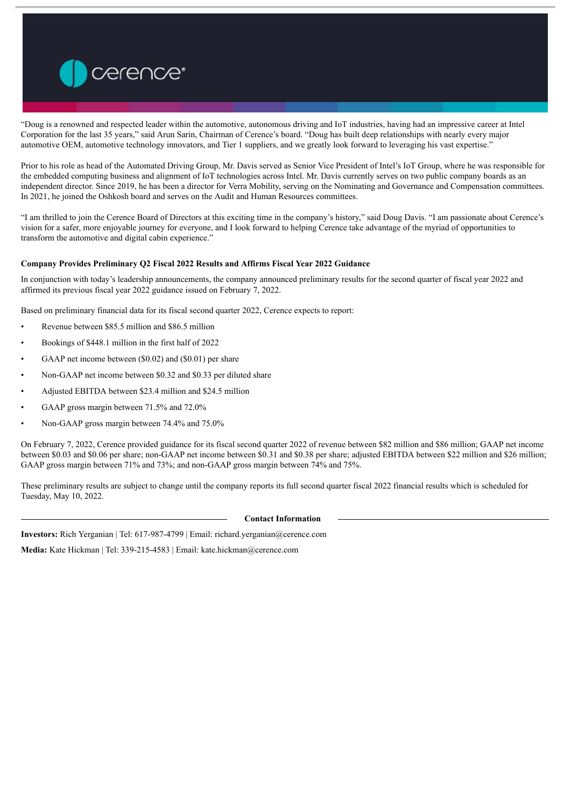

"Doug is a renowned and respected leader within the automotive, autonomous driving and IoT industries, having had an impressive career at Intel Corporation for the last 35 years," said Arun Sarin, Chairman of Cerence's board. "Doug has built deep relationships with nearly every major automotive OEM, automotive technology innovators, and Tier 1 suppliers, and we greatly look forward to leveraging his vast expertise."

Prior to his role as head of the Automated Driving Group, Mr. Davis served as Senior Vice President of Intel's IoT Group, where he was responsible for the embedded computing business and alignment of IoT technologies across Intel. Mr. Davis currently serves on two public company boards as an independent director. Since 2019, he has been a director for Verra Mobility, serving on the Nominating and Governance and Compensation committees. In 2021, he joined the Oshkosh board and serves on the Audit and Human Resources committees.

"I am thrilled to join the Cerence Board of Directors at this exciting time in the company's history," said Doug Davis. "I am passionate about Cerence's vision for a safer, more enjoyable journey for everyone, and I look forward to helping Cerence take advantage of the myriad of opportunities to transform the automotive and digital cabin experience."

#### **Company Provides Preliminary Q2 Fiscal 2022 Results and Affirms Fiscal Year 2022 Guidance**

In conjunction with today's leadership announcements, the company announced preliminary results for the second quarter of fiscal year 2022 and affirmed its previous fiscal year 2022 guidance issued on February 7, 2022.

Based on preliminary financial data for its fiscal second quarter 2022, Cerence expects to report:

- Revenue between \$85.5 million and \$86.5 million
- Bookings of \$448.1 million in the first half of 2022
- GAAP net income between (\$0.02) and (\$0.01) per share
- Non-GAAP net income between \$0.32 and \$0.33 per diluted share
- Adjusted EBITDA between \$23.4 million and \$24.5 million
- GAAP gross margin between 71.5% and 72.0%
- Non-GAAP gross margin between 74.4% and 75.0%

On February 7, 2022, Cerence provided guidance for its fiscal second quarter 2022 of revenue between \$82 million and \$86 million; GAAP net income between \$0.03 and \$0.06 per share; non-GAAP net income between \$0.31 and \$0.38 per share; adjusted EBITDA between \$22 million and \$26 million; GAAP gross margin between 71% and 73%; and non-GAAP gross margin between 74% and 75%.

These preliminary results are subject to change until the company reports its full second quarter fiscal 2022 financial results which is scheduled for Tuesday, May 10, 2022.

#### **Contact Information**

**Investors:** Rich Yerganian | Tel: 617-987-4799 | Email: richard.yerganian@cerence.com **Media:** Kate Hickman | Tel: 339-215-4583 | Email: kate.hickman@cerence.com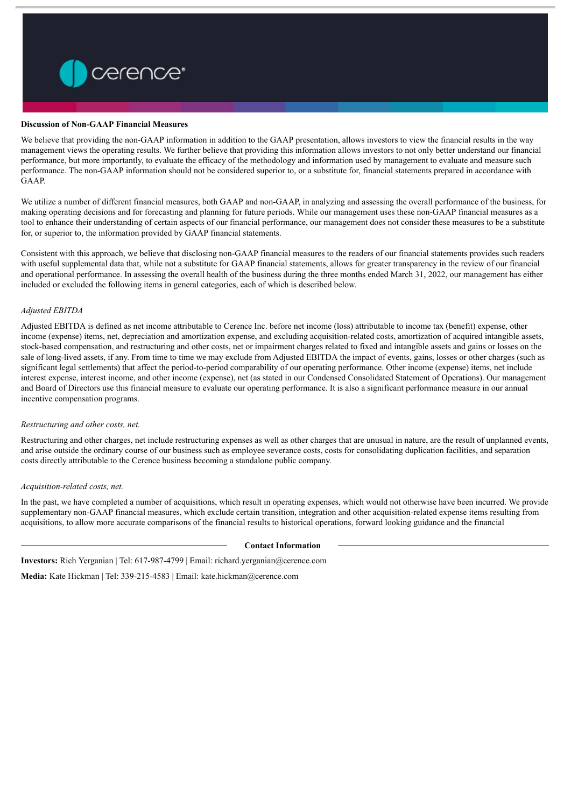

#### **Discussion of Non-GAAP Financial Measures**

We believe that providing the non-GAAP information in addition to the GAAP presentation, allows investors to view the financial results in the way management views the operating results. We further believe that providing this information allows investors to not only better understand our financial performance, but more importantly, to evaluate the efficacy of the methodology and information used by management to evaluate and measure such performance. The non-GAAP information should not be considered superior to, or a substitute for, financial statements prepared in accordance with GAAP.

We utilize a number of different financial measures, both GAAP and non-GAAP, in analyzing and assessing the overall performance of the business, for making operating decisions and for forecasting and planning for future periods. While our management uses these non-GAAP financial measures as a tool to enhance their understanding of certain aspects of our financial performance, our management does not consider these measures to be a substitute for, or superior to, the information provided by GAAP financial statements.

Consistent with this approach, we believe that disclosing non-GAAP financial measures to the readers of our financial statements provides such readers with useful supplemental data that, while not a substitute for GAAP financial statements, allows for greater transparency in the review of our financial and operational performance. In assessing the overall health of the business during the three months ended March 31, 2022, our management has either included or excluded the following items in general categories, each of which is described below.

#### *Adjusted EBITDA*

Adjusted EBITDA is defined as net income attributable to Cerence Inc. before net income (loss) attributable to income tax (benefit) expense, other income (expense) items, net, depreciation and amortization expense, and excluding acquisition-related costs, amortization of acquired intangible assets, stock-based compensation, and restructuring and other costs, net or impairment charges related to fixed and intangible assets and gains or losses on the sale of long-lived assets, if any. From time to time we may exclude from Adjusted EBITDA the impact of events, gains, losses or other charges (such as significant legal settlements) that affect the period-to-period comparability of our operating performance. Other income (expense) items, net include interest expense, interest income, and other income (expense), net (as stated in our Condensed Consolidated Statement of Operations). Our management and Board of Directors use this financial measure to evaluate our operating performance. It is also a significant performance measure in our annual incentive compensation programs.

#### *Restructuring and other costs, net.*

Restructuring and other charges, net include restructuring expenses as well as other charges that are unusual in nature, are the result of unplanned events, and arise outside the ordinary course of our business such as employee severance costs, costs for consolidating duplication facilities, and separation costs directly attributable to the Cerence business becoming a standalone public company.

#### *Acquisition-related costs, net.*

In the past, we have completed a number of acquisitions, which result in operating expenses, which would not otherwise have been incurred. We provide supplementary non-GAAP financial measures, which exclude certain transition, integration and other acquisition-related expense items resulting from acquisitions, to allow more accurate comparisons of the financial results to historical operations, forward looking guidance and the financial

#### **Contact Information**

**Investors:** Rich Yerganian | Tel: 617-987-4799 | Email: richard.yerganian@cerence.com **Media:** Kate Hickman | Tel: 339-215-4583 | Email: kate.hickman@cerence.com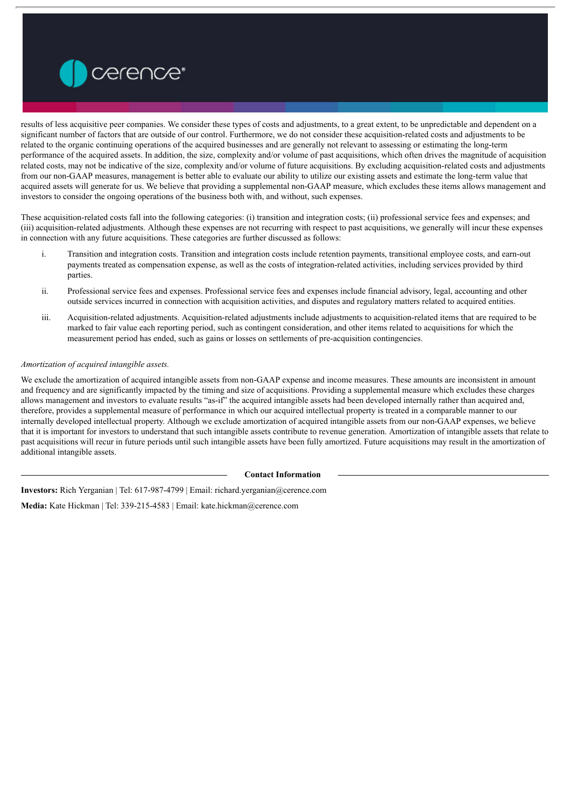

results of less acquisitive peer companies. We consider these types of costs and adjustments, to a great extent, to be unpredictable and dependent on a significant number of factors that are outside of our control. Furthermore, we do not consider these acquisition-related costs and adjustments to be related to the organic continuing operations of the acquired businesses and are generally not relevant to assessing or estimating the long-term performance of the acquired assets. In addition, the size, complexity and/or volume of past acquisitions, which often drives the magnitude of acquisition related costs, may not be indicative of the size, complexity and/or volume of future acquisitions. By excluding acquisition-related costs and adjustments from our non-GAAP measures, management is better able to evaluate our ability to utilize our existing assets and estimate the long-term value that acquired assets will generate for us. We believe that providing a supplemental non-GAAP measure, which excludes these items allows management and investors to consider the ongoing operations of the business both with, and without, such expenses.

These acquisition-related costs fall into the following categories: (i) transition and integration costs; (ii) professional service fees and expenses; and (iii) acquisition-related adjustments. Although these expenses are not recurring with respect to past acquisitions, we generally will incur these expenses in connection with any future acquisitions. These categories are further discussed as follows:

- i. Transition and integration costs. Transition and integration costs include retention payments, transitional employee costs, and earn-out payments treated as compensation expense, as well as the costs of integration-related activities, including services provided by third parties.
- ii. Professional service fees and expenses. Professional service fees and expenses include financial advisory, legal, accounting and other outside services incurred in connection with acquisition activities, and disputes and regulatory matters related to acquired entities.
- iii. Acquisition-related adjustments. Acquisition-related adjustments include adjustments to acquisition-related items that are required to be marked to fair value each reporting period, such as contingent consideration, and other items related to acquisitions for which the measurement period has ended, such as gains or losses on settlements of pre-acquisition contingencies.

#### *Amortization of acquired intangible assets.*

We exclude the amortization of acquired intangible assets from non-GAAP expense and income measures. These amounts are inconsistent in amount and frequency and are significantly impacted by the timing and size of acquisitions. Providing a supplemental measure which excludes these charges allows management and investors to evaluate results "as-if" the acquired intangible assets had been developed internally rather than acquired and, therefore, provides a supplemental measure of performance in which our acquired intellectual property is treated in a comparable manner to our internally developed intellectual property. Although we exclude amortization of acquired intangible assets from our non-GAAP expenses, we believe that it is important for investors to understand that such intangible assets contribute to revenue generation. Amortization of intangible assets that relate to past acquisitions will recur in future periods until such intangible assets have been fully amortized. Future acquisitions may result in the amortization of additional intangible assets.

#### **Contact Information**

**Investors:** Rich Yerganian | Tel: 617-987-4799 | Email: richard.verganian@cerence.com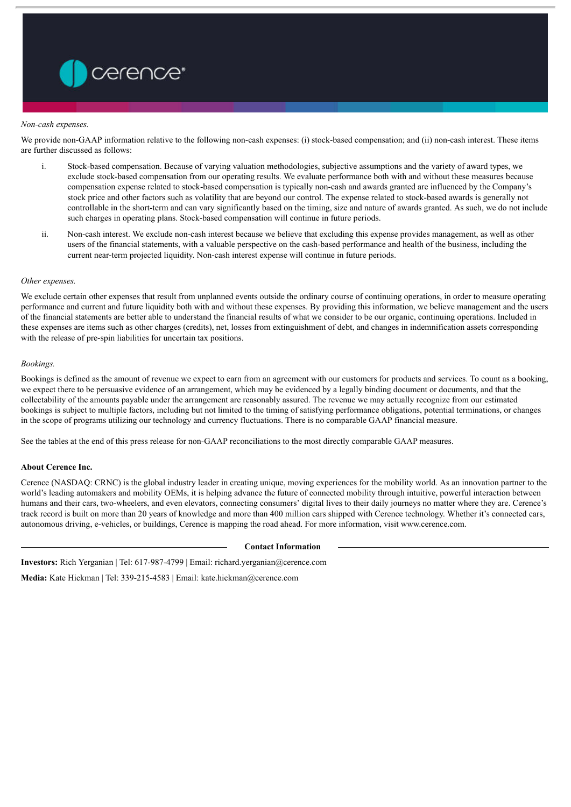

#### *Non-cash expenses.*

We provide non-GAAP information relative to the following non-cash expenses: (i) stock-based compensation; and (ii) non-cash interest. These items are further discussed as follows:

- i. Stock-based compensation. Because of varying valuation methodologies, subjective assumptions and the variety of award types, we exclude stock-based compensation from our operating results. We evaluate performance both with and without these measures because compensation expense related to stock-based compensation is typically non-cash and awards granted are influenced by the Company's stock price and other factors such as volatility that are beyond our control. The expense related to stock-based awards is generally not controllable in the short-term and can vary significantly based on the timing, size and nature of awards granted. As such, we do not include such charges in operating plans. Stock-based compensation will continue in future periods.
- ii. Non-cash interest. We exclude non-cash interest because we believe that excluding this expense provides management, as well as other users of the financial statements, with a valuable perspective on the cash-based performance and health of the business, including the current near-term projected liquidity. Non-cash interest expense will continue in future periods.

#### *Other expenses.*

We exclude certain other expenses that result from unplanned events outside the ordinary course of continuing operations, in order to measure operating performance and current and future liquidity both with and without these expenses. By providing this information, we believe management and the users of the financial statements are better able to understand the financial results of what we consider to be our organic, continuing operations. Included in these expenses are items such as other charges (credits), net, losses from extinguishment of debt, and changes in indemnification assets corresponding with the release of pre-spin liabilities for uncertain tax positions.

#### *Bookings.*

Bookings is defined as the amount of revenue we expect to earn from an agreement with our customers for products and services. To count as a booking, we expect there to be persuasive evidence of an arrangement, which may be evidenced by a legally binding document or documents, and that the collectability of the amounts payable under the arrangement are reasonably assured. The revenue we may actually recognize from our estimated bookings is subject to multiple factors, including but not limited to the timing of satisfying performance obligations, potential terminations, or changes in the scope of programs utilizing our technology and currency fluctuations. There is no comparable GAAP financial measure.

See the tables at the end of this press release for non-GAAP reconciliations to the most directly comparable GAAP measures.

### **About Cerence Inc.**

Cerence (NASDAQ: CRNC) is the global industry leader in creating unique, moving experiences for the mobility world. As an innovation partner to the world's leading automakers and mobility OEMs, it is helping advance the future of connected mobility through intuitive, powerful interaction between humans and their cars, two-wheelers, and even elevators, connecting consumers' digital lives to their daily journeys no matter where they are. Cerence's track record is built on more than 20 years of knowledge and more than 400 million cars shipped with Cerence technology. Whether it's connected cars, autonomous driving, e-vehicles, or buildings, Cerence is mapping the road ahead. For more information, visit www.cerence.com.

#### **Contact Information**

**Investors:** Rich Yerganian | Tel: 617-987-4799 | Email: richard.verganian@cerence.com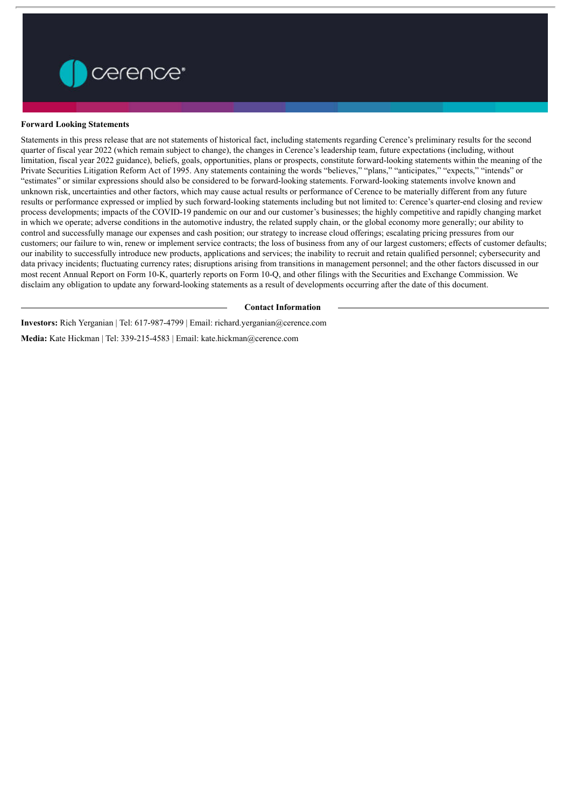

#### **Forward Looking Statements**

Statements in this press release that are not statements of historical fact, including statements regarding Cerence's preliminary results for the second quarter of fiscal year 2022 (which remain subject to change), the changes in Cerence's leadership team, future expectations (including, without limitation, fiscal year 2022 guidance), beliefs, goals, opportunities, plans or prospects, constitute forward-looking statements within the meaning of the Private Securities Litigation Reform Act of 1995. Any statements containing the words "believes," "plans," "anticipates," "expects," "intends" or "estimates" or similar expressions should also be considered to be forward-looking statements. Forward-looking statements involve known and unknown risk, uncertainties and other factors, which may cause actual results or performance of Cerence to be materially different from any future results or performance expressed or implied by such forward-looking statements including but not limited to: Cerence's quarter-end closing and review process developments; impacts of the COVID-19 pandemic on our and our customer's businesses; the highly competitive and rapidly changing market in which we operate; adverse conditions in the automotive industry, the related supply chain, or the global economy more generally; our ability to control and successfully manage our expenses and cash position; our strategy to increase cloud offerings; escalating pricing pressures from our customers; our failure to win, renew or implement service contracts; the loss of business from any of our largest customers; effects of customer defaults; our inability to successfully introduce new products, applications and services; the inability to recruit and retain qualified personnel; cybersecurity and data privacy incidents; fluctuating currency rates; disruptions arising from transitions in management personnel; and the other factors discussed in our most recent Annual Report on Form 10-K, quarterly reports on Form 10-Q, and other filings with the Securities and Exchange Commission. We disclaim any obligation to update any forward-looking statements as a result of developments occurring after the date of this document.

**Contact Information**

**Investors:** Rich Yerganian | Tel: 617-987-4799 | Email: richard.yerganian@cerence.com **Media:** Kate Hickman | Tel: 339-215-4583 | Email: kate.hickman@cerence.com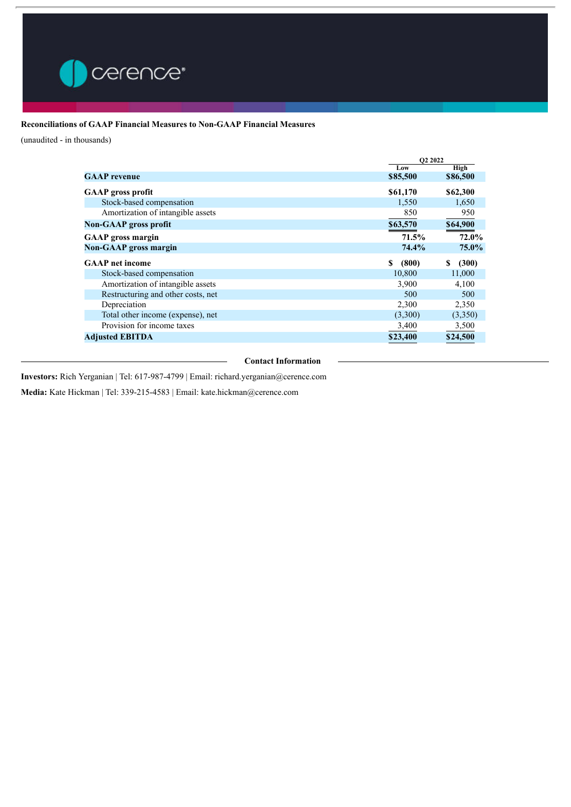Cerence<sup>®</sup>

# **Reconciliations of GAAP Financial Measures to Non-GAAP Financial Measures**

(unaudited - in thousands)

|                                    | O <sub>2</sub> 2022 |            |
|------------------------------------|---------------------|------------|
|                                    | Low                 | High       |
| <b>GAAP</b> revenue                | \$85,500            | \$86,500   |
| <b>GAAP</b> gross profit           | \$61,170            | \$62,300   |
| Stock-based compensation           | 1,550               | 1,650      |
| Amortization of intangible assets  | 850                 | 950        |
| <b>Non-GAAP</b> gross profit       | \$63,570            | \$64,900   |
| <b>GAAP</b> gross margin           | 71.5%               | 72.0%      |
| <b>Non-GAAP</b> gross margin       | 74.4%               | 75.0%      |
| <b>GAAP</b> net income             | (800)<br>S.         | (300)<br>S |
| Stock-based compensation           | 10,800              | 11,000     |
| Amortization of intangible assets  | 3,900               | 4,100      |
| Restructuring and other costs, net | 500                 | 500        |
| Depreciation                       | 2,300               | 2,350      |
| Total other income (expense), net  | (3,300)             | (3,350)    |
| Provision for income taxes         | 3,400               | 3,500      |
| <b>Adjusted EBITDA</b>             | \$23,400            | \$24,500   |

## **Contact Information**

**Investors:** Rich Yerganian | Tel: 617-987-4799 | Email: richard.yerganian@cerence.com